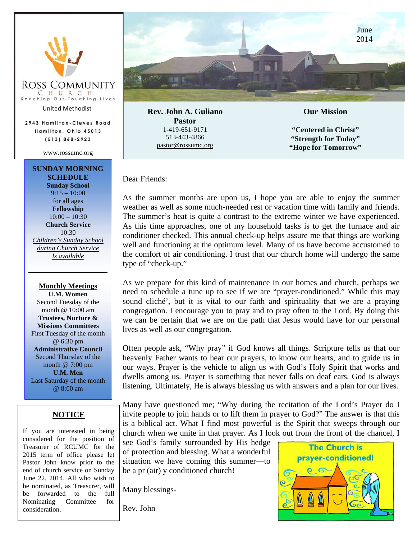

United Methodist

2943 Hamilton-Cleves Road Hamilton, Ohio 45013  $(513) 868 - 2923$ 

www.rossumc.org

### **SUNDAY MORNING SCHEDULE**

**Sunday School**  $9:15 - 10:00$ for all ages **Fellowship**  $10:00 - 10:30$ **Church Service** 10:30 *Children's Sunday School during Church Service Is available*

**Monthly Meetings U.M. Women** Second Tuesday of the month @ 10:00 am **Trustees, Nurture & Missions Committees** First Tuesday of the month @ 6:30 pm **Administrative Council** Second Thursday of the month @ 7:00 pm **U.M. Men** Last Saturday of the month @ 8:00 am

### **NOTICE**

If you are interested in being considered for the position of Treasurer of RCUMC for the 2015 term of office please let Pastor John know prior to the end of church service on Sunday June 22, 2014. All who wish to be nominated, as Treasurer, will be forwarded to the full Nominating Committee for consideration.



**Rev. John A. Guliano Pastor** 1-419-651-9171 513-443-4866 pastor@rossumc.org

**Our Mission** 

**"Centered in Christ" "Strength for Today" "Hope for Tomorrow"**

Dear Friends:

As the summer months are upon us, I hope you are able to enjoy the summer weather as well as some much-needed rest or vacation time with family and friends. The summer's heat is quite a contrast to the extreme winter we have experienced. As this time approaches, one of my household tasks is to get the furnace and air conditioner checked. This annual check-up helps assure me that things are working well and functioning at the optimum level. Many of us have become accustomed to the comfort of air conditioning. I trust that our church home will undergo the same type of "check-up."

As we prepare for this kind of maintenance in our homes and church, perhaps we need to schedule a tune up to see if we are "prayer-conditioned." While this may sound cliché', but it is vital to our faith and spirituality that we are a praying congregation. I encourage you to pray and to pray often to the Lord. By doing this we can be certain that we are on the path that Jesus would have for our personal lives as well as our congregation.

Often people ask, "Why pray" if God knows all things. Scripture tells us that our heavenly Father wants to hear our prayers, to know our hearts, and to guide us in our ways. Prayer is the vehicle to align us with God's Holy Spirit that works and dwells among us. Prayer is something that never falls on deaf ears. God is always listening. Ultimately, He is always blessing us with answers and a plan for our lives.

Many have questioned me; "Why during the recitation of the Lord's Prayer do I invite people to join hands or to lift them in prayer to God?" The answer is that this is a biblical act. What I find most powerful is the Spirit that sweeps through our church when we unite in that prayer. As I look out from the front of the chancel, I

see God's family surrounded by His hedge of protection and blessing. What a wonderful situation we have coming this summer—to be a pr (air) y conditioned church!

Many blessings-

Rev. John

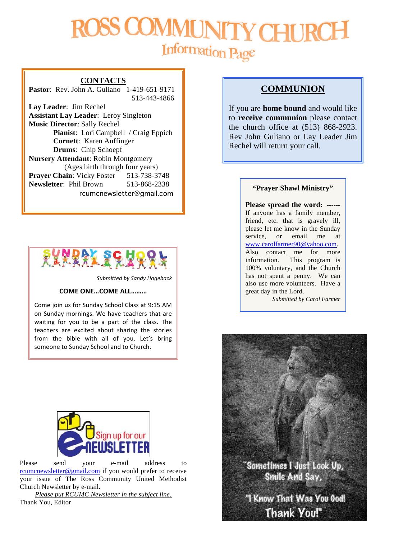# MMUNIT **CHU** Information Page

### **CONTACTS**

**Pastor**: Rev. John A. Guliano 1-419-651-9171 513-443-4866

**Lay Leader**: Jim Rechel **Assistant Lay Leader**: Leroy Singleton **Music Director**: Sally Rechel **Pianist**: Lori Campbell / Craig Eppich **Cornett**: Karen Auffinger **Drums**: Chip Schoepf **Nursery Attendant**: Robin Montgomery (Ages birth through four years) **Prayer Chain:** Vicky Foster 513-738-3748 **Newsletter**: Phil Brown 513-868-2338 rcumcnewsletter@gmail.com



*Submitted by Sandy Hogeback*

### **COME ONE…COME ALL………**

Come join us for Sunday School Class at 9:15 AM on Sunday mornings. We have teachers that are waiting for you to be a part of the class. The teachers are excited about sharing the stories from the bible with all of you. Let's bring someone to Sunday School and to Church.



Please send your e-mail address to rcumcnewsletter@gmail.com if you would prefer to receive your issue of The Ross Community United Methodist Church Newsletter by e-mail.

*Please put RCUMC Newsletter in the subject line.* Thank You, Editor

### **COMMUNION**

If you are **home bound** and would like to **receive communion** please contact the church office at (513) 868-2923. Rev John Guliano or Lay Leader Jim Rechel will return your call.

### **"Prayer Shawl Ministry"**

**Please spread the word: ------** If anyone has a family member, friend, etc. that is gravely ill, please let me know in the Sunday service, or email me at www.carolfarmer90@yahoo.com. Also contact me for more information. This program is 100% voluntary, and the Church has not spent a penny. We can also use more volunteers. Have a great day in the Lord.

*Submitted by Carol Farmer*

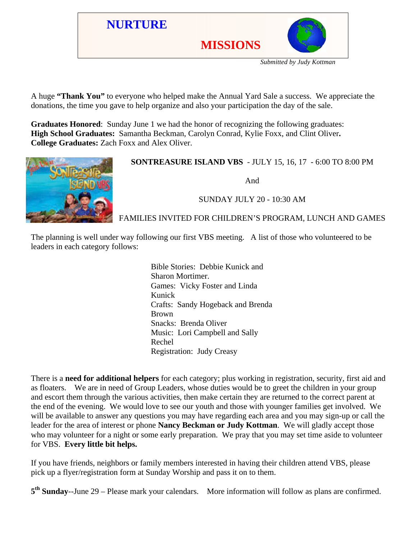

*Submitted by Judy Kottman*

A huge **"Thank You"** to everyone who helped make the Annual Yard Sale a success. We appreciate the donations, the time you gave to help organize and also your participation the day of the sale.

**Graduates Honored**: Sunday June 1 we had the honor of recognizing the following graduates: **High School Graduates:** Samantha Beckman, Carolyn Conrad, Kylie Foxx, and Clint Oliver**. College Graduates:** Zach Foxx and Alex Oliver.



### **SONTREASURE ISLAND VBS** - JULY 15, 16, 17 - 6:00 TO 8:00 PM

And

### SUNDAY JULY 20 - 10:30 AM

### FAMILIES INVITED FOR CHILDREN'S PROGRAM, LUNCH AND GAMES

The planning is well under way following our first VBS meeting. A list of those who volunteered to be leaders in each category follows:

> Bible Stories: Debbie Kunick and Sharon Mortimer. Games: Vicky Foster and Linda Kunick Crafts: Sandy Hogeback and Brenda Brown Snacks: Brenda Oliver Music: Lori Campbell and Sally Rechel Registration: Judy Creasy

There is a **need for additional helpers** for each category; plus working in registration, security, first aid and as floaters. We are in need of Group Leaders, whose duties would be to greet the children in your group and escort them through the various activities, then make certain they are returned to the correct parent at the end of the evening. We would love to see our youth and those with younger families get involved. We will be available to answer any questions you may have regarding each area and you may sign-up or call the leader for the area of interest or phone **Nancy Beckman or Judy Kottman**. We will gladly accept those who may volunteer for a night or some early preparation. We pray that you may set time aside to volunteer for VBS. **Every little bit helps.**

If you have friends, neighbors or family members interested in having their children attend VBS, please pick up a flyer/registration form at Sunday Worship and pass it on to them.

**5th Sunday**--June 29 – Please mark your calendars. More information will follow as plans are confirmed.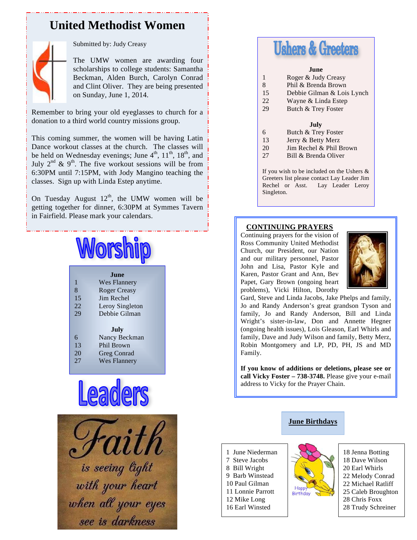### **United Methodist Women**



### Submitted by: Judy Creasy

The UMW women are awarding four scholarships to college students: Samantha Beckman, Alden Burch, Carolyn Conrad and Clint Oliver. They are being presented on Sunday, June 1, 2014.

Remember to bring your old eyeglasses to church for a donation to a third world country missions group.

This coming summer, the women will be having Latin Dance workout classes at the church. The classes will be held on Wednesday evenings; June 4<sup>th</sup>, 11<sup>th</sup>, 18<sup>th</sup>, and July  $2^{nd}$  &  $9^{th}$ . The five workout sessions will be from 6:30PM until 7:15PM, with Jody Mangino teaching the classes. Sign up with Linda Estep anytime.

On Tuesday August  $12<sup>th</sup>$ , the UMW women will be getting together for dinner, 6:30PM at Symmes Tavern in Fairfield. Please mark your calendars.

# Worship

|     | .Iune               |
|-----|---------------------|
| 1   | Wes Flannery        |
| 8   | <b>Roger Creasy</b> |
| 15  | Jim Rechel          |
| 22. | Leroy Singleton     |
| 29  | Debbie Gilman       |
|     |                     |
|     | July                |
| 6   | Nancy Beckman       |
| 13  | Phil Brown          |
| 20  | Greg Conrad         |
| 27  | <b>Wes Flannery</b> |





# **Ushers & Greeters**

#### **June**

- 1 Roger & Judy Creasy
- 8 Phil & Brenda Brown
- 15 Debbie Gilman & Lois Lynch
- 22 Wayne & Linda Estep<br>29 Butch & Trev Foster
- Butch & Trey Foster

### **July**

- 6 Butch & Trey Foster
- 13 Jerry & Betty Merz
- 20 Jim Rechel & Phil Brown
- 27 Bill & Brenda Oliver

If you wish to be included on the Ushers & Greeters list please contact Lay Leader Jim Rechel or Asst. Lay Leader Leroy Singleton.

### **CONTINUING PRAYERS**

Continuing prayers for the vision of Ross Community United Methodist Church, our President, our Nation and our military personnel, Pastor John and Lisa, Pastor Kyle and Karen, Pastor Grant and Ann, Bev Papet, Gary Brown (ongoing heart problems), Vicki Hilton, Dorothy



Gard, Steve and Linda Jacobs, Jake Phelps and family, Jo and Randy Anderson's great grandson Tyson and family, Jo and Randy Anderson, Bill and Linda Wright's sister-in-law, Don and Annette Hegner (ongoing health issues), Lois Gleason, Earl Whirls and family, Dave and Judy Wilson and family, Betty Merz, Robin Montgomery and LP, PD, PH, JS and MD Family.

**If you know of additions or deletions, please see or call Vicky Foster – 738-3748.** Please give your e-mail address to Vicky for the Prayer Chain.

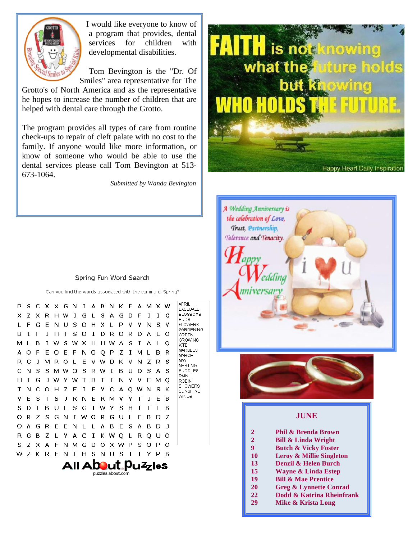

I would like everyone to know of a program that provides, dental services for children with developmental disabilities.

Tom Bevington is the "Dr. Of Smiles" area representative for The

Grotto's of North America and as the representative he hopes to increase the number of children that are helped with dental care through the Grotto.

The program provides all types of care from routine check-ups to repair of cleft palate with no cost to the family. If anyone would like more information, or know of someone who would be able to use the dental services please call Tom Bevington at 513- 673-1064.

 *Submitted by Wanda Bevington*



Can you find the words associated with the coming of Spring?

| P                          | s | C | x | X.  | G | N  | T  | А            | в | N | ĸ | E            | А | M | x | w  | APRIL<br><b>BASEBALL</b>          |
|----------------------------|---|---|---|-----|---|----|----|--------------|---|---|---|--------------|---|---|---|----|-----------------------------------|
| x                          | 7 | x | R | н   | w | J. | G  | $\mathbf{I}$ | S | А | G | D            | F | п | Τ | C  | <b>BLOSSOMS</b><br><b>BUDS</b>    |
| L                          | F | G | F | N   | п | S  | О  | н            | x |   | P | v            | Υ | N | s | v  | <b>FLOWERS</b>                    |
| в                          | T | F | Τ | н   | т | S  | Ω  | Ι            | D | R | Ω | R            | D | А | F | Ω  | GARDENING<br>GREEN                |
| M                          |   | в | Τ | w   | s | w  | x  | н            | н | w | A | S            | Τ | А |   | Q  | GROWING<br>KITE                   |
| А                          | Ω | F | F | Ω   | F | F  | N  | O            | Q | P | 7 | T            | м |   | в | R  | <b>MARBLES</b><br>MARCH           |
| R                          | G | ı | м | R   | Ω |    | F  | v            | w | D | ĸ | v            | N | 7 | R | S  | MAY<br><b>NESTING</b>             |
| C.                         | N | s | s | м   | w | Ω  | s  | R            | w | Т | в | п            | D | s | А | S  | <b>PUDDLES</b>                    |
| н                          | T | G | ı | w   | Y | w  | т  | в            | т | Τ | N | Υ            | v | F | M | O  | RAIN<br>ROBIN                     |
| т                          | N | C | Ω | н   | 7 | F  | I  | E            | Y | C | А | Q            | w | N | S | ĸ  | <b>SHOWERS</b><br><b>SUNSHINE</b> |
| v                          | F | S | т | S   | J | R  | N  | F            | R | м | v | Y            | т | ı | F | в  | WINDS                             |
| S                          | D | т | в | ' ' | L | S  | G  | т            | w | Υ | S | н            | Ι | т |   | в  |                                   |
| Ω                          | R | Ζ | s | G   | N | T  | w  | Ω            | R | G | U | L            | E | в | D | Z  |                                   |
| Ω                          | А | G | R | E   | E | N  | L  | L            | А | в | E | S            | А | в | D | J. |                                   |
| R                          | G | в | 7 | L   | Y | А  | -C | I            | ĸ | w | O | $\mathbf{L}$ | R | O | U | Ω  |                                   |
| S                          | 7 | x | А | F   | N | м  | G  | D            | Ω | x | w | P            | s | Ω | P | Ω  |                                   |
| w                          | 7 | ĸ | R | F   | N | T  | н  | S            | N | U | s | T            | T | Y | P | в  |                                   |
| All A <b>bo</b> ut Puzzles |   |   |   |     |   |    |    |              |   |   |   |              |   |   |   |    |                                   |
|                            |   |   |   |     |   |    |    |              |   |   |   |              |   |   |   |    |                                   |

puzzles.about.com





- 
- **22 Dodd & Katrina Rheinfrank**
	- **29 Mike & Krista Long**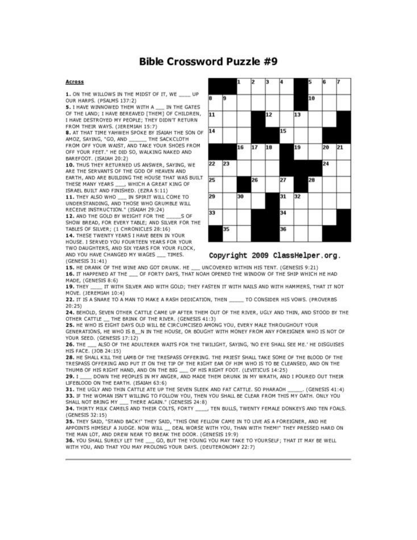### **Bible Crossword Puzzle #9**

### **Across**

1. ON THE WILLOWS IN THE MIDST OF IT, WE  $U$ OUR HARPS. (PSALMS 137:2)

5. I HAVE WINNOWED THEM WITH A IN THE GATES OF THE LAND; I HAVE BEREAVED [THEM] OF CHILDREN, I HAVE DESTROYED MY PEOPLE; THEY DIDN'T RETURN FROM THEIR WAYS, (JEREMIAH 15:7)

8. AT THAT TIME YAHWEH SPOKE BY ISAIAH THE SON OF AMOZ, SAYING, "GO, AND THE SACKCLOTH FROM OFF YOUR WAIST, AND TAKE YOUR SHOES FROM OFF YOUR FEET." HE DID SO, WALKING NAKED AND BAREFOOT. (ISAIAH 20:2)

10. THUS THEY RETURNED US ANSWER, SAYING, WE ARE THE SERVANTS OF THE GOD OF HEAVEN AND EARTH, AND ARE BUILDING THE HOUSE THAT WAS BUILT THESE MANY YEARS \_\_\_ , WHICH A GREAT KING OF ISRAEL BUILT AND FINISHED. (EZRA 5:11)

11. THEY ALSO WHO \_\_\_ IN SPIRIT WILL COME TO UNDERSTANDING, AND THOSE WHO GRUMBLE WILL RECEIVE INSTRUCTION." (ISAIAH 29:24)

12. AND THE GOLD BY WEIGHT FOR THE S OF SHOW BREAD, FOR EVERY TABLE; AND SILVER FOR THE TABLES OF SILVER; (1 CHRONICLES 28:16)

14. THESE TWENTY YEARS I HAVE BEEN IN YOUR HOUSE. I SERVED YOU FOURTEEN YEARS FOR YOUR TWO DAUGHTERS, AND SIX YEARS FOR YOUR FLOCK, AND YOU HAVE CHANGED MY WAGES \_\_ TIMES.  $(GENFSIS 31:41)$ 



### Copyright 2009 ClassHelper.org.

15. HE DRANK OF THE WINE AND GOT DRUNK, HE UNCOVERED WITHIN HIS TENT. (GENESIS 9:21) 16. IT HAPPENED AT THE \_\_ OF FORTY DAYS, THAT NOAH OPENED THE WINDOW OF THE SHIP WHICH HE HAD MADE, (GENESIS 8:6)

IT WITH SILVER AND WITH GOLD: THEY FASTEN IT WITH NAILS AND WITH HAMMERS, THAT IT NOT **19. THEY** MOVE. (JEREMIAH 10:4)

22. IT IS A SNARE TO A MAN TO MAKE A RASH DEDICATION, THEN \_\_\_\_\_ TO CONSIDER HIS VOWS. (PROVERBS  $20:251$ 

24. BEHOLD, SEVEN OTHER CATTLE CAME UP AFTER THEM OUT OF THE RIVER, UGLY AND THIN, AND STOOD BY THE OTHER CATTLE \_\_ THE BRINK OF THE RIVER. (GENESIS 41:3)

25. HE WHO IS EIGHT DAYS OLD WILL BE CIRCUMCISED AMONG YOU, EVERY MALE THROUGHOUT YOUR

GENERATIONS, HE WHO IS B. N IN THE HOUSE, OR BOUGHT WITH MONEY FROM ANY FOREIGNER WHO IS NOT OF YOUR SEED. (GENESIS 17:12)

26. THE ALSO OF THE ADULTERER WAITS FOR THE TWILIGHT, SAYING, 'NO EYE SHALL SEE ME.' HE DISGUISES HIS FACE. (JOB 24:15)

28. HE SHALL KILL THE LAMB OF THE TRESPASS OFFERING. THE PRIEST SHALL TAKE SOME OF THE BLOOD OF THE TRESPASS OFFERING AND PUT IT ON THE TIP OF THE RIGHT EAR OF HIM WHO IS TO BE CLEANSED, AND ON THE THUMB OF HIS RIGHT HAND, AND ON THE BIG \_\_ OF HIS RIGHT FOOT. (LEVITICUS 14:25)

29. I\_\_\_\_ DOWN THE PEOPLES IN MY ANGER, AND MADE THEM DRUNK IN MY WRATH, AND I POURED OUT THEIR LIFEBLOOD ON THE EARTH. (ISAIAH 63:6)

31. THE UGLY AND THIN CATTLE ATE UP THE SEVEN SLEEK AND FAT CATTLE. SO PHARAOH . (GENESIS 41:4) 33. IF THE WOMAN ISN'T WILLING TO FOLLOW YOU, THEN YOU SHALL BE CLEAR FROM THIS MY OATH. ONLY YOU SHALL NOT BRING MY \_\_ THERE AGAIN." (GENESIS 24:8)

34. THIRTY MILK CAMELS AND THEIR COLTS, FORTY , TEN BULLS, TWENTY FEMALE DONKEYS AND TEN FOALS. (GENESIS 32:15)

35. THEY SAID, "STAND BACK!" THEY SAID, "THIS ONE FELLOW CAME IN TO LIVE AS A FOREIGNER, AND HE APPOINTS HIMSELF A JUDGE. NOW WILL ..... DEAL WORSE WITH YOU, THAN WITH THEM!" THEY PRESSED HARD ON THE MAN LOT, AND DREW NEAR TO BREAK THE DOOR. (GENESIS 19:9)

36. YOU SHALL SURELY LET THE \_\_\_ GO, BUT THE YOUNG YOU MAY TAKE TO YOURSELF; THAT IT MAY BE WELL WITH YOU, AND THAT YOU MAY PROLONG YOUR DAYS. (DEUTERONOMY 22:7)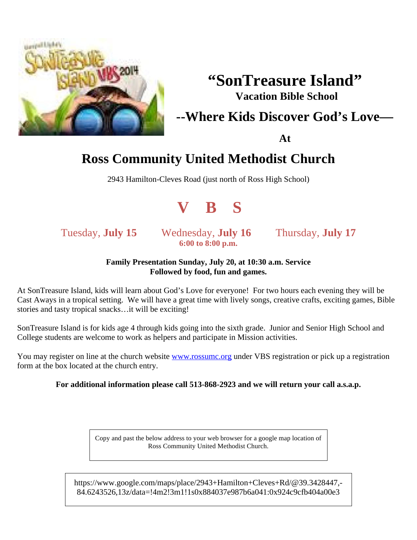

# **"SonTreasure Island" Vacation Bible School**

## **--Where Kids Discover God's Love—**

**At**

# **Ross Community United Methodist Church**

2943 Hamilton-Cleves Road (just north of Ross High School)



Tuesday, **July 15** Wednesday, **July 16** Thursday, **July 17 6:00 to 8:00 p.m.**

### **Family Presentation Sunday, July 20, at 10:30 a.m. Service Followed by food, fun and games.**

At SonTreasure Island, kids will learn about God's Love for everyone! For two hours each evening they will be Cast Aways in a tropical setting. We will have a great time with lively songs, creative crafts, exciting games, Bible stories and tasty tropical snacks…it will be exciting!

SonTreasure Island is for kids age 4 through kids going into the sixth grade. Junior and Senior High School and College students are welcome to work as helpers and participate in Mission activities.

You may register on line at the church website www.rossumc.org under VBS registration or pick up a registration form at the box located at the church entry.

### **For additional information please call 513-868-2923 and we will return your call a.s.a.p.**

Copy and past the below address to your web browser for a google map location of Ross Community United Methodist Church.

https://www.google.com/maps/place/2943+Hamilton+Cleves+Rd/@39.3428447,- 84.6243526,13z/data=!4m2!3m1!1s0x884037e987b6a041:0x924c9cfb404a00e3